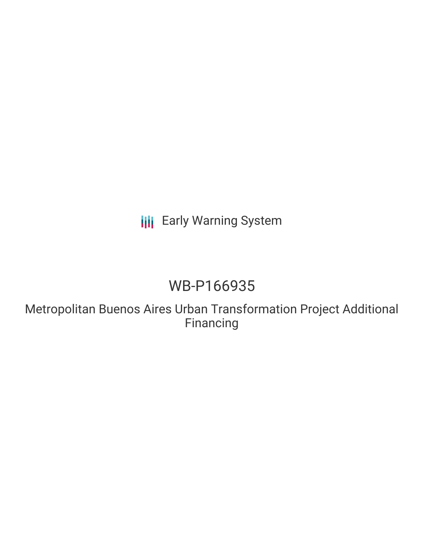## **III** Early Warning System

# WB-P166935

Metropolitan Buenos Aires Urban Transformation Project Additional Financing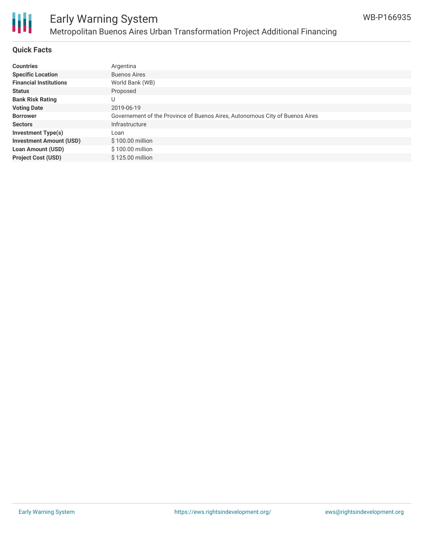

### Early Warning System Metropolitan Buenos Aires Urban Transformation Project Additional Financing

#### **Quick Facts**

| <b>Countries</b>               | Argentina                                                                    |
|--------------------------------|------------------------------------------------------------------------------|
| <b>Specific Location</b>       | <b>Buenos Aires</b>                                                          |
| <b>Financial Institutions</b>  | World Bank (WB)                                                              |
| <b>Status</b>                  | Proposed                                                                     |
| <b>Bank Risk Rating</b>        | U                                                                            |
| <b>Voting Date</b>             | 2019-06-19                                                                   |
| <b>Borrower</b>                | Governement of the Province of Buenos Aires, Autonomous City of Buenos Aires |
| <b>Sectors</b>                 | Infrastructure                                                               |
| <b>Investment Type(s)</b>      | Loan                                                                         |
| <b>Investment Amount (USD)</b> | \$100.00 million                                                             |
| <b>Loan Amount (USD)</b>       | $$100.00$ million                                                            |
| <b>Project Cost (USD)</b>      | $$125.00$ million                                                            |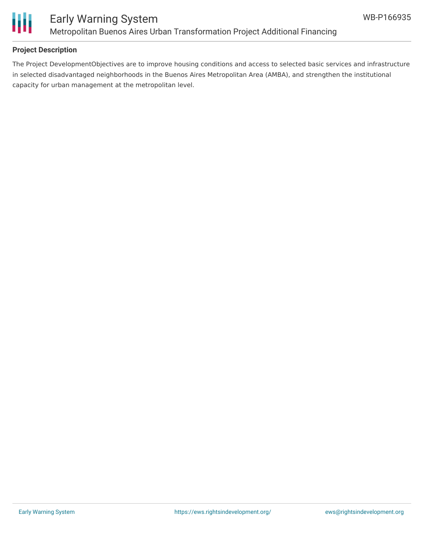

#### **Project Description**

The Project DevelopmentObjectives are to improve housing conditions and access to selected basic services and infrastructure in selected disadvantaged neighborhoods in the Buenos Aires Metropolitan Area (AMBA), and strengthen the institutional capacity for urban management at the metropolitan level.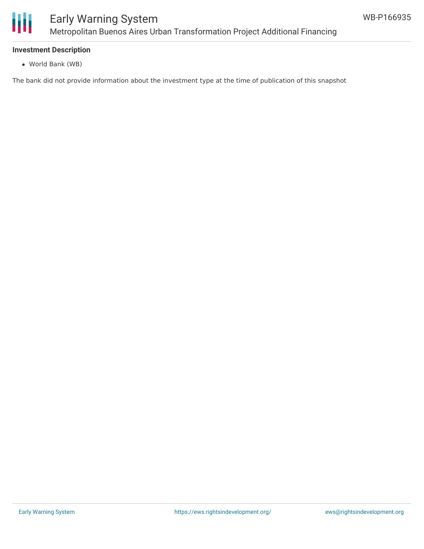

#### **Investment Description**

World Bank (WB)

The bank did not provide information about the investment type at the time of publication of this snapshot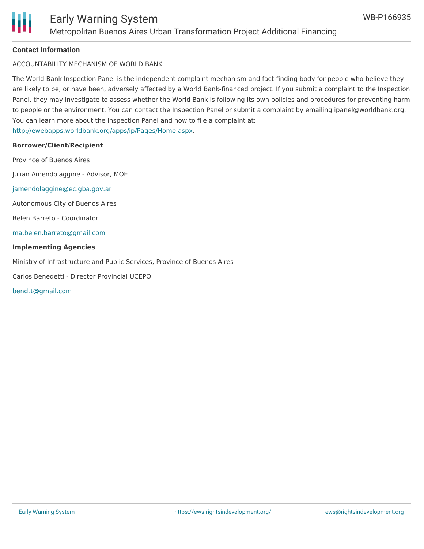

#### **Contact Information**

ACCOUNTABILITY MECHANISM OF WORLD BANK

The World Bank Inspection Panel is the independent complaint mechanism and fact-finding body for people who believe they are likely to be, or have been, adversely affected by a World Bank-financed project. If you submit a complaint to the Inspection Panel, they may investigate to assess whether the World Bank is following its own policies and procedures for preventing harm to people or the environment. You can contact the Inspection Panel or submit a complaint by emailing ipanel@worldbank.org. You can learn more about the Inspection Panel and how to file a complaint at: <http://ewebapps.worldbank.org/apps/ip/Pages/Home.aspx>.

#### **Borrower/Client/Recipient**

Province of Buenos Aires Julian Amendolaggine - Advisor, MOE [jamendolaggine@ec.gba.gov.ar](mailto:jamendolaggine@ec.gba.gov.ar) Autonomous City of Buenos Aires Belen Barreto - Coordinator [ma.belen.barreto@gmail.com](mailto:ma.belen.barreto@gmail.com) **Implementing Agencies** Ministry of Infrastructure and Public Services, Province of Buenos Aires

Carlos Benedetti - Director Provincial UCEPO

[bendtt@gmail.com](mailto:bendtt@gmail.com)